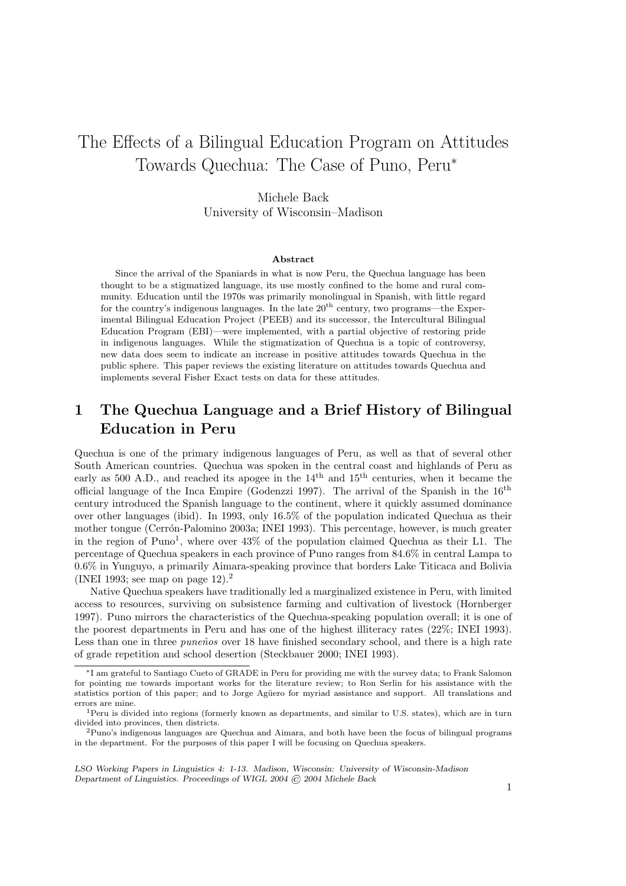# The Effects of a Bilingual Education Program on Attitudes Towards Quechua: The Case of Puno, Peru<sup>∗</sup>

#### Michele Back

University of Wisconsin–Madison

#### Abstract

Since the arrival of the Spaniards in what is now Peru, the Quechua language has been thought to be a stigmatized language, its use mostly confined to the home and rural community. Education until the 1970s was primarily monolingual in Spanish, with little regard for the country's indigenous languages. In the late  $20<sup>th</sup>$  century, two programs—the Experimental Bilingual Education Project (PEEB) and its successor, the Intercultural Bilingual Education Program (EBI)—were implemented, with a partial objective of restoring pride in indigenous languages. While the stigmatization of Quechua is a topic of controversy, new data does seem to indicate an increase in positive attitudes towards Quechua in the public sphere. This paper reviews the existing literature on attitudes towards Quechua and implements several Fisher Exact tests on data for these attitudes.

## 1 The Quechua Language and a Brief History of Bilingual Education in Peru

Quechua is one of the primary indigenous languages of Peru, as well as that of several other South American countries. Quechua was spoken in the central coast and highlands of Peru as early as 500 A.D., and reached its apogee in the 14<sup>th</sup> and 15<sup>th</sup> centuries, when it became the official language of the Inca Empire (Godenzzi 1997). The arrival of the Spanish in the 16th century introduced the Spanish language to the continent, where it quickly assumed dominance over other languages (ibid). In 1993, only 16.5% of the population indicated Quechua as their mother tongue (Cerr´on-Palomino 2003a; INEI 1993). This percentage, however, is much greater in the region of Puno<sup>1</sup>, where over 43% of the population claimed Quechua as their L1. The percentage of Quechua speakers in each province of Puno ranges from 84.6% in central Lampa to 0.6% in Yunguyo, a primarily Aimara-speaking province that borders Lake Titicaca and Bolivia (INEI 1993; see map on page 12).<sup>2</sup>

Native Quechua speakers have traditionally led a marginalized existence in Peru, with limited access to resources, surviving on subsistence farming and cultivation of livestock (Hornberger 1997). Puno mirrors the characteristics of the Quechua-speaking population overall; it is one of the poorest departments in Peru and has one of the highest illiteracy rates (22%; INEI 1993). Less than one in three *puneños* over 18 have finished secondary school, and there is a high rate of grade repetition and school desertion (Steckbauer 2000; INEI 1993).

LSO Working Papers in Linguistics 4: 1-13. Madison, Wisconsin: University of Wisconsin-Madison Department of Linguistics. Proceedings of WIGL 2004 © 2004 Michele Back

<sup>∗</sup>I am grateful to Santiago Cueto of GRADE in Peru for providing me with the survey data; to Frank Salomon for pointing me towards important works for the literature review; to Ron Serlin for his assistance with the statistics portion of this paper; and to Jorge Agüero for myriad assistance and support. All translations and errors are mine.

<sup>&</sup>lt;sup>1</sup>Peru is divided into regions (formerly known as departments, and similar to U.S. states), which are in turn divided into provinces, then districts.

 $^{2}$ Puno's indigenous languages are Quechua and Aimara, and both have been the focus of bilingual programs in the department. For the purposes of this paper I will be focusing on Quechua speakers.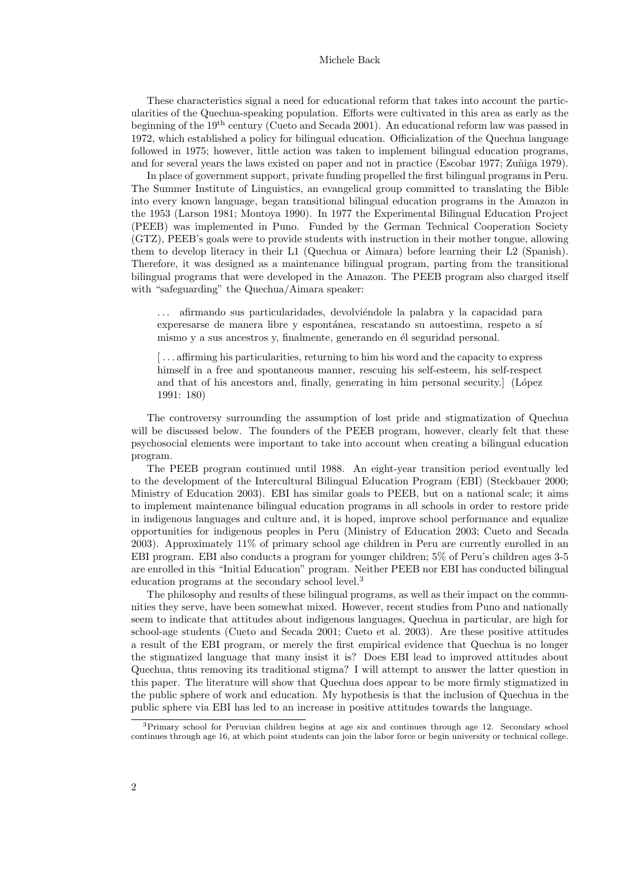These characteristics signal a need for educational reform that takes into account the particularities of the Quechua-speaking population. Efforts were cultivated in this area as early as the beginning of the 19<sup>th</sup> century (Cueto and Secada 2001). An educational reform law was passed in 1972, which established a policy for bilingual education. Officialization of the Quechua language followed in 1975; however, little action was taken to implement bilingual education programs, and for several years the laws existed on paper and not in practice (Escobar 1977; Zuñiga 1979).

In place of government support, private funding propelled the first bilingual programs in Peru. The Summer Institute of Linguistics, an evangelical group committed to translating the Bible into every known language, began transitional bilingual education programs in the Amazon in the 1953 (Larson 1981; Montoya 1990). In 1977 the Experimental Bilingual Education Project (PEEB) was implemented in Puno. Funded by the German Technical Cooperation Society (GTZ), PEEB's goals were to provide students with instruction in their mother tongue, allowing them to develop literacy in their L1 (Quechua or Aimara) before learning their L2 (Spanish). Therefore, it was designed as a maintenance bilingual program, parting from the transitional bilingual programs that were developed in the Amazon. The PEEB program also charged itself with "safeguarding" the Quechua/Aimara speaker:

 $\ldots$  afirmando sus particularidades, devolviéndole la palabra y la capacidad para experesarse de manera libre y espontánea, rescatando su autoestima, respeto a sí mismo y a sus ancestros y, finalmente, generando en él seguridad personal.

[... affirming his particularities, returning to him his word and the capacity to express himself in a free and spontaneous manner, rescuing his self-esteem, his self-respect and that of his ancestors and, finally, generating in him personal security. (López 1991: 180)

The controversy surrounding the assumption of lost pride and stigmatization of Quechua will be discussed below. The founders of the PEEB program, however, clearly felt that these psychosocial elements were important to take into account when creating a bilingual education program.

The PEEB program continued until 1988. An eight-year transition period eventually led to the development of the Intercultural Bilingual Education Program (EBI) (Steckbauer 2000; Ministry of Education 2003). EBI has similar goals to PEEB, but on a national scale; it aims to implement maintenance bilingual education programs in all schools in order to restore pride in indigenous languages and culture and, it is hoped, improve school performance and equalize opportunities for indigenous peoples in Peru (Ministry of Education 2003; Cueto and Secada 2003). Approximately 11% of primary school age children in Peru are currently enrolled in an EBI program. EBI also conducts a program for younger children; 5% of Peru's children ages 3-5 are enrolled in this "Initial Education" program. Neither PEEB nor EBI has conducted bilingual education programs at the secondary school level.<sup>3</sup>

The philosophy and results of these bilingual programs, as well as their impact on the communities they serve, have been somewhat mixed. However, recent studies from Puno and nationally seem to indicate that attitudes about indigenous languages, Quechua in particular, are high for school-age students (Cueto and Secada 2001; Cueto et al. 2003). Are these positive attitudes a result of the EBI program, or merely the first empirical evidence that Quechua is no longer the stigmatized language that many insist it is? Does EBI lead to improved attitudes about Quechua, thus removing its traditional stigma? I will attempt to answer the latter question in this paper. The literature will show that Quechua does appear to be more firmly stigmatized in the public sphere of work and education. My hypothesis is that the inclusion of Quechua in the public sphere via EBI has led to an increase in positive attitudes towards the language.

<sup>&</sup>lt;sup>3</sup>Primary school for Peruvian children begins at age six and continues through age 12. Secondary school continues through age 16, at which point students can join the labor force or begin university or technical college.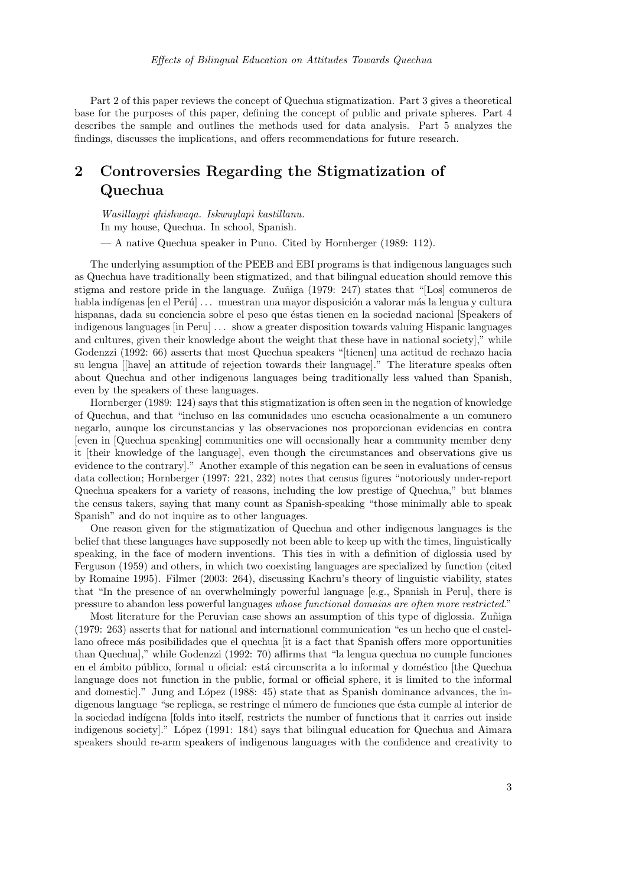Part 2 of this paper reviews the concept of Quechua stigmatization. Part 3 gives a theoretical base for the purposes of this paper, defining the concept of public and private spheres. Part 4 describes the sample and outlines the methods used for data analysis. Part 5 analyzes the findings, discusses the implications, and offers recommendations for future research.

## 2 Controversies Regarding the Stigmatization of Quechua

Wasillaypi qhishwaqa. Iskwuylapi kastillanu. In my house, Quechua. In school, Spanish.

— A native Quechua speaker in Puno. Cited by Hornberger (1989: 112).

The underlying assumption of the PEEB and EBI programs is that indigenous languages such as Quechua have traditionally been stigmatized, and that bilingual education should remove this stigma and restore pride in the language. Zuñiga (1979: 247) states that "[Los] comuneros de habla indígenas [en el Perú] ... muestran una mayor disposición a valorar más la lengua y cultura hispanas, dada su conciencia sobre el peso que éstas tienen en la sociedad nacional [Speakers of indigenous languages [in Peru] ... show a greater disposition towards valuing Hispanic languages and cultures, given their knowledge about the weight that these have in national society]," while Godenzzi (1992: 66) asserts that most Quechua speakers "[tienen] una actitud de rechazo hacia su lengua [[have] an attitude of rejection towards their language]." The literature speaks often about Quechua and other indigenous languages being traditionally less valued than Spanish, even by the speakers of these languages.

Hornberger (1989: 124) says that this stigmatization is often seen in the negation of knowledge of Quechua, and that "incluso en las comunidades uno escucha ocasionalmente a un comunero negarlo, aunque los circunstancias y las observaciones nos proporcionan evidencias en contra [even in [Quechua speaking] communities one will occasionally hear a community member deny it [their knowledge of the language], even though the circumstances and observations give us evidence to the contrary]." Another example of this negation can be seen in evaluations of census data collection; Hornberger (1997: 221, 232) notes that census figures "notoriously under-report Quechua speakers for a variety of reasons, including the low prestige of Quechua," but blames the census takers, saying that many count as Spanish-speaking "those minimally able to speak Spanish" and do not inquire as to other languages.

One reason given for the stigmatization of Quechua and other indigenous languages is the belief that these languages have supposedly not been able to keep up with the times, linguistically speaking, in the face of modern inventions. This ties in with a definition of diglossia used by Ferguson (1959) and others, in which two coexisting languages are specialized by function (cited by Romaine 1995). Filmer (2003: 264), discussing Kachru's theory of linguistic viability, states that "In the presence of an overwhelmingly powerful language [e.g., Spanish in Peru], there is pressure to abandon less powerful languages whose functional domains are often more restricted."

Most literature for the Peruvian case shows an assumption of this type of diglossia. Zuniga (1979: 263) asserts that for national and international communication "es un hecho que el castellano ofrece más posibilidades que el quechua [it is a fact that Spanish offers more opportunities than Quechua]," while Godenzzi (1992: 70) affirms that "la lengua quechua no cumple funciones en el ámbito público, formal u oficial: está circunscrita a lo informal y doméstico [the Quechua language does not function in the public, formal or official sphere, it is limited to the informal and domestic." Jung and López (1988: 45) state that as Spanish dominance advances, the indigenous language "se repliega, se restringe el número de funciones que ésta cumple al interior de la sociedad indígena [folds into itself, restricts the number of functions that it carries out inside indigenous society." López (1991: 184) says that bilingual education for Quechua and Aimara speakers should re-arm speakers of indigenous languages with the confidence and creativity to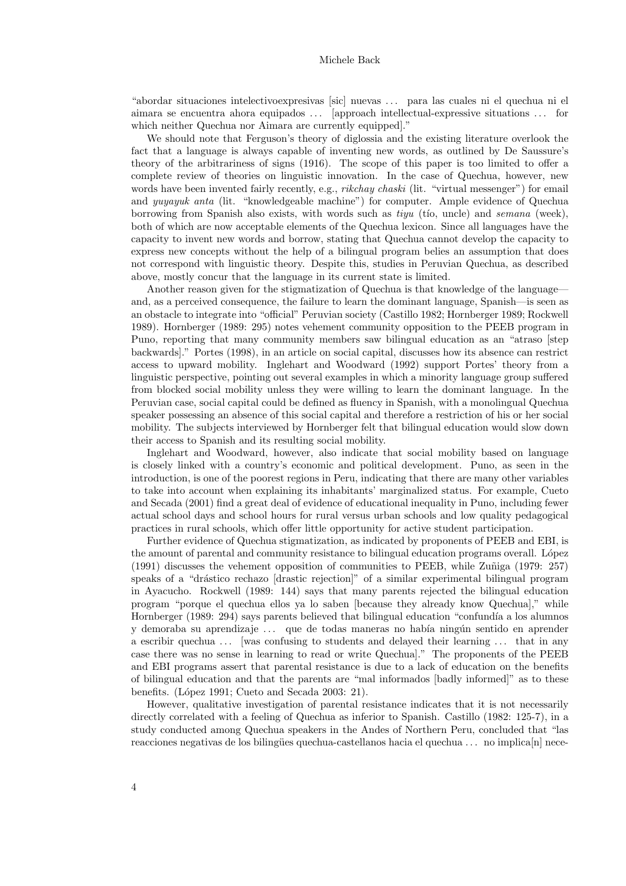"abordar situaciones intelectivoexpresivas [sic] nuevas . . . para las cuales ni el quechua ni el aimara se encuentra ahora equipados ... [approach intellectual-expressive situations ... for which neither Quechua nor Aimara are currently equipped]."

We should note that Ferguson's theory of diglossia and the existing literature overlook the fact that a language is always capable of inventing new words, as outlined by De Saussure's theory of the arbitrariness of signs (1916). The scope of this paper is too limited to offer a complete review of theories on linguistic innovation. In the case of Quechua, however, new words have been invented fairly recently, e.g., *rikchay chaski* (lit. "virtual messenger") for email and *yuyayuk anta* (lit. "knowledgeable machine") for computer. Ample evidence of Quechua borrowing from Spanish also exists, with words such as  $tiyu$  (tio, uncle) and semana (week), both of which are now acceptable elements of the Quechua lexicon. Since all languages have the capacity to invent new words and borrow, stating that Quechua cannot develop the capacity to express new concepts without the help of a bilingual program belies an assumption that does not correspond with linguistic theory. Despite this, studies in Peruvian Quechua, as described above, mostly concur that the language in its current state is limited.

Another reason given for the stigmatization of Quechua is that knowledge of the language and, as a perceived consequence, the failure to learn the dominant language, Spanish—is seen as an obstacle to integrate into "official" Peruvian society (Castillo 1982; Hornberger 1989; Rockwell 1989). Hornberger (1989: 295) notes vehement community opposition to the PEEB program in Puno, reporting that many community members saw bilingual education as an "atraso [step backwards]." Portes (1998), in an article on social capital, discusses how its absence can restrict access to upward mobility. Inglehart and Woodward (1992) support Portes' theory from a linguistic perspective, pointing out several examples in which a minority language group suffered from blocked social mobility unless they were willing to learn the dominant language. In the Peruvian case, social capital could be defined as fluency in Spanish, with a monolingual Quechua speaker possessing an absence of this social capital and therefore a restriction of his or her social mobility. The subjects interviewed by Hornberger felt that bilingual education would slow down their access to Spanish and its resulting social mobility.

Inglehart and Woodward, however, also indicate that social mobility based on language is closely linked with a country's economic and political development. Puno, as seen in the introduction, is one of the poorest regions in Peru, indicating that there are many other variables to take into account when explaining its inhabitants' marginalized status. For example, Cueto and Secada (2001) find a great deal of evidence of educational inequality in Puno, including fewer actual school days and school hours for rural versus urban schools and low quality pedagogical practices in rural schools, which offer little opportunity for active student participation.

Further evidence of Quechua stigmatization, as indicated by proponents of PEEB and EBI, is the amount of parental and community resistance to bilingual education programs overall. López  $(1991)$  discusses the vehement opposition of communities to PEEB, while Zuniga (1979: 257) speaks of a "drástico rechazo [drastic rejection]" of a similar experimental bilingual program in Ayacucho. Rockwell (1989: 144) says that many parents rejected the bilingual education program "porque el quechua ellos ya lo saben [because they already know Quechua]," while Hornberger (1989: 294) says parents believed that bilingual education "confundía a los alumnos" y demoraba su aprendizaje ... que de todas maneras no había ningún sentido en aprender a escribir quechua ... [was confusing to students and delayed their learning ... that in any case there was no sense in learning to read or write Quechua]." The proponents of the PEEB and EBI programs assert that parental resistance is due to a lack of education on the benefits of bilingual education and that the parents are "mal informados [badly informed]" as to these benefits. (López 1991; Cueto and Secada 2003: 21).

However, qualitative investigation of parental resistance indicates that it is not necessarily directly correlated with a feeling of Quechua as inferior to Spanish. Castillo (1982: 125-7), in a study conducted among Quechua speakers in the Andes of Northern Peru, concluded that "las reacciones negativas de los bilingües quechua-castellanos hacia el quechua . . . no implica[n] nece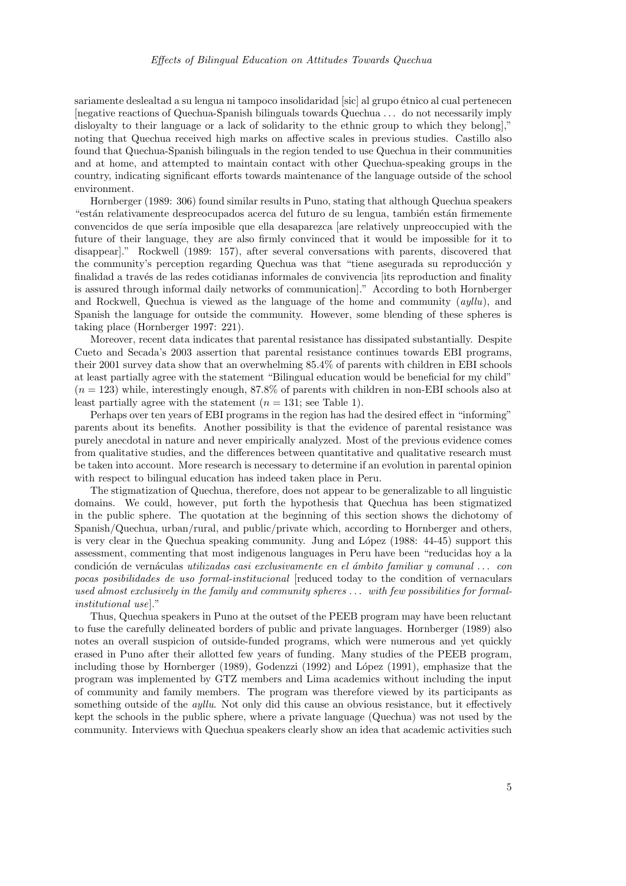sariamente deslealtad a su lengua ni tampoco insolidaridad [sic] al grupo étnico al cual pertenecen [negative reactions of Quechua-Spanish bilinguals towards Quechua . . . do not necessarily imply disloyalty to their language or a lack of solidarity to the ethnic group to which they belong]," noting that Quechua received high marks on affective scales in previous studies. Castillo also found that Quechua-Spanish bilinguals in the region tended to use Quechua in their communities and at home, and attempted to maintain contact with other Quechua-speaking groups in the country, indicating significant efforts towards maintenance of the language outside of the school environment.

Hornberger (1989: 306) found similar results in Puno, stating that although Quechua speakers "están relativamente despreocupados acerca del futuro de su lengua, también están firmemente convencidos de que sería imposible que ella desaparezca [are relatively unpreoccupied with the future of their language, they are also firmly convinced that it would be impossible for it to disappear]." Rockwell (1989: 157), after several conversations with parents, discovered that the community's perception regarding Quechua was that "tiene asegurada su reproducción y finalidad a través de las redes cotidianas informales de convivencia [its reproduction and finality is assured through informal daily networks of communication]." According to both Hornberger and Rockwell, Quechua is viewed as the language of the home and community  $(ayllu)$ , and Spanish the language for outside the community. However, some blending of these spheres is taking place (Hornberger 1997: 221).

Moreover, recent data indicates that parental resistance has dissipated substantially. Despite Cueto and Secada's 2003 assertion that parental resistance continues towards EBI programs, their 2001 survey data show that an overwhelming 85.4% of parents with children in EBI schools at least partially agree with the statement "Bilingual education would be beneficial for my child"  $(n = 123)$  while, interestingly enough, 87.8% of parents with children in non-EBI schools also at least partially agree with the statement  $(n = 131;$  see Table 1).

Perhaps over ten years of EBI programs in the region has had the desired effect in "informing" parents about its benefits. Another possibility is that the evidence of parental resistance was purely anecdotal in nature and never empirically analyzed. Most of the previous evidence comes from qualitative studies, and the differences between quantitative and qualitative research must be taken into account. More research is necessary to determine if an evolution in parental opinion with respect to bilingual education has indeed taken place in Peru.

The stigmatization of Quechua, therefore, does not appear to be generalizable to all linguistic domains. We could, however, put forth the hypothesis that Quechua has been stigmatized in the public sphere. The quotation at the beginning of this section shows the dichotomy of Spanish/Quechua, urban/rural, and public/private which, according to Hornberger and others, is very clear in the Quechua speaking community. Jung and López (1988: 44-45) support this assessment, commenting that most indigenous languages in Peru have been "reducidas hoy a la condición de vernáculas utilizadas casi exclusivamente en el ámbito familiar y comunal ... con pocas posibilidades de uso formal-institucional [reduced today to the condition of vernaculars used almost exclusively in the family and community spheres ... with few possibilities for formalinstitutional use]."

Thus, Quechua speakers in Puno at the outset of the PEEB program may have been reluctant to fuse the carefully delineated borders of public and private languages. Hornberger (1989) also notes an overall suspicion of outside-funded programs, which were numerous and yet quickly erased in Puno after their allotted few years of funding. Many studies of the PEEB program, including those by Hornberger (1989), Godenzzi (1992) and López (1991), emphasize that the program was implemented by GTZ members and Lima academics without including the input of community and family members. The program was therefore viewed by its participants as something outside of the *ayllu*. Not only did this cause an obvious resistance, but it effectively kept the schools in the public sphere, where a private language (Quechua) was not used by the community. Interviews with Quechua speakers clearly show an idea that academic activities such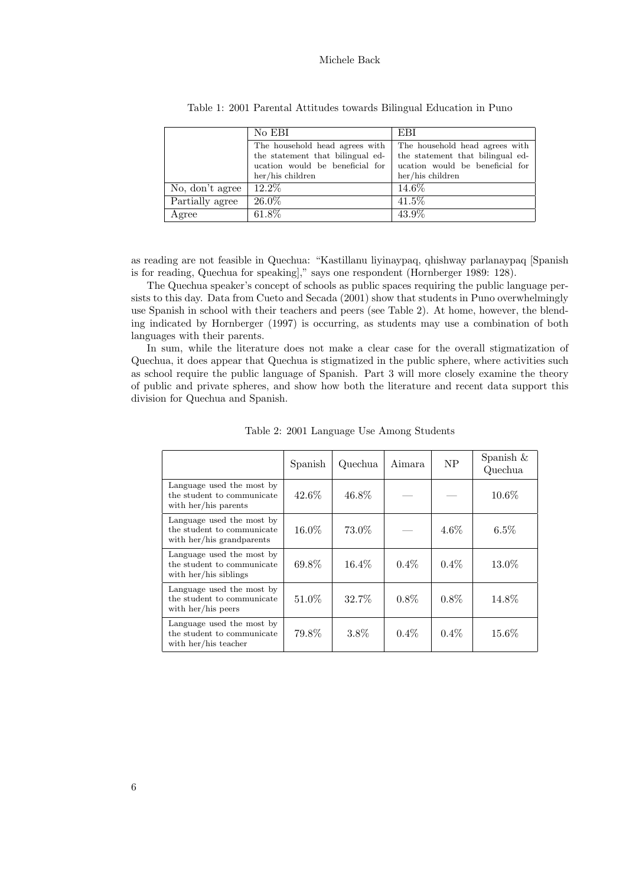|                 | No EBI                           | EBI                              |
|-----------------|----------------------------------|----------------------------------|
|                 | The household head agrees with   | The household head agrees with   |
|                 | the statement that bilingual ed- | the statement that bilingual ed- |
|                 | ucation would be beneficial for  | ucation would be beneficial for  |
|                 | her/his children                 | her/his children                 |
| No, don't agree | 12.2\%                           | 14.6\%                           |
| Partially agree | 26.0%                            | $41.5\%$                         |
| Agree           | 61.8%                            | 43.9%                            |

Table 1: 2001 Parental Attitudes towards Bilingual Education in Puno

as reading are not feasible in Quechua: "Kastillanu liyinaypaq, qhishway parlanaypaq [Spanish is for reading, Quechua for speaking]," says one respondent (Hornberger 1989: 128).

The Quechua speaker's concept of schools as public spaces requiring the public language persists to this day. Data from Cueto and Secada (2001) show that students in Puno overwhelmingly use Spanish in school with their teachers and peers (see Table 2). At home, however, the blending indicated by Hornberger (1997) is occurring, as students may use a combination of both languages with their parents.

In sum, while the literature does not make a clear case for the overall stigmatization of Quechua, it does appear that Quechua is stigmatized in the public sphere, where activities such as school require the public language of Spanish. Part 3 will more closely examine the theory of public and private spheres, and show how both the literature and recent data support this division for Quechua and Spanish.

|                                                                                      | Spanish | Quechua  | Aimara  | <b>NP</b> | Spanish $\&$<br>Quechua |
|--------------------------------------------------------------------------------------|---------|----------|---------|-----------|-------------------------|
| Language used the most by<br>the student to communicate<br>with her/his parents      | 42.6%   | 46.8%    |         |           | 10.6%                   |
| Language used the most by<br>the student to communicate<br>with her/his grandparents | 16.0%   | 73.0%    |         | $4.6\%$   | $6.5\%$                 |
| Language used the most by<br>the student to communicate<br>with her/his siblings     | 69.8%   | $16.4\%$ | $0.4\%$ | $0.4\%$   | 13.0%                   |
| Language used the most by<br>the student to communicate<br>with her/his peers        | 51.0\%  | 32.7%    | $0.8\%$ | $0.8\%$   | 14.8%                   |
| Language used the most by<br>the student to communicate<br>with her/his teacher      | 79.8%   | 3.8%     | $0.4\%$ | $0.4\%$   | 15.6%                   |

Table 2: 2001 Language Use Among Students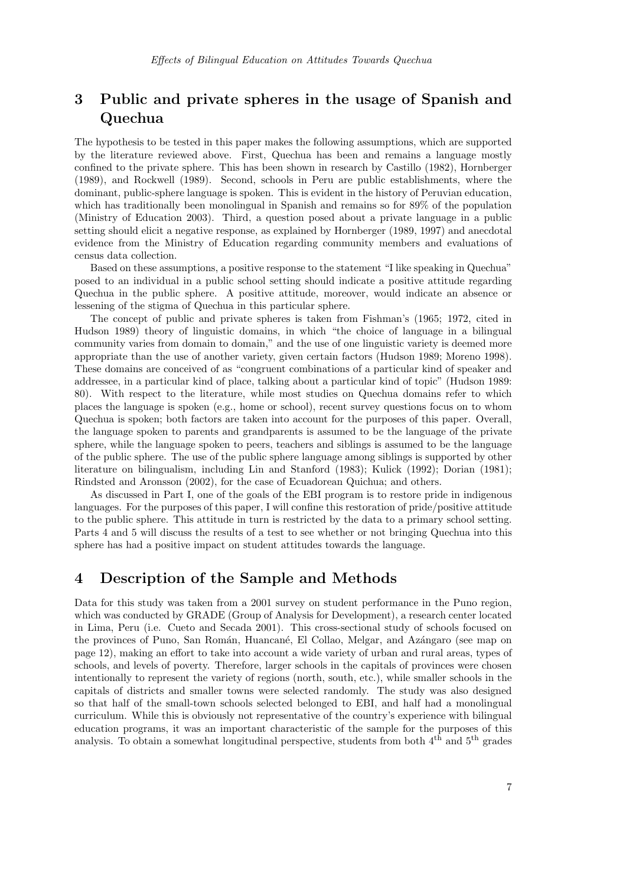## 3 Public and private spheres in the usage of Spanish and Quechua

The hypothesis to be tested in this paper makes the following assumptions, which are supported by the literature reviewed above. First, Quechua has been and remains a language mostly confined to the private sphere. This has been shown in research by Castillo (1982), Hornberger (1989), and Rockwell (1989). Second, schools in Peru are public establishments, where the dominant, public-sphere language is spoken. This is evident in the history of Peruvian education, which has traditionally been monolingual in Spanish and remains so for 89% of the population (Ministry of Education 2003). Third, a question posed about a private language in a public setting should elicit a negative response, as explained by Hornberger (1989, 1997) and anecdotal evidence from the Ministry of Education regarding community members and evaluations of census data collection.

Based on these assumptions, a positive response to the statement "I like speaking in Quechua" posed to an individual in a public school setting should indicate a positive attitude regarding Quechua in the public sphere. A positive attitude, moreover, would indicate an absence or lessening of the stigma of Quechua in this particular sphere.

The concept of public and private spheres is taken from Fishman's (1965; 1972, cited in Hudson 1989) theory of linguistic domains, in which "the choice of language in a bilingual community varies from domain to domain," and the use of one linguistic variety is deemed more appropriate than the use of another variety, given certain factors (Hudson 1989; Moreno 1998). These domains are conceived of as "congruent combinations of a particular kind of speaker and addressee, in a particular kind of place, talking about a particular kind of topic" (Hudson 1989: 80). With respect to the literature, while most studies on Quechua domains refer to which places the language is spoken (e.g., home or school), recent survey questions focus on to whom Quechua is spoken; both factors are taken into account for the purposes of this paper. Overall, the language spoken to parents and grandparents is assumed to be the language of the private sphere, while the language spoken to peers, teachers and siblings is assumed to be the language of the public sphere. The use of the public sphere language among siblings is supported by other literature on bilingualism, including Lin and Stanford (1983); Kulick (1992); Dorian (1981); Rindsted and Aronsson (2002), for the case of Ecuadorean Quichua; and others.

As discussed in Part I, one of the goals of the EBI program is to restore pride in indigenous languages. For the purposes of this paper, I will confine this restoration of pride/positive attitude to the public sphere. This attitude in turn is restricted by the data to a primary school setting. Parts 4 and 5 will discuss the results of a test to see whether or not bringing Quechua into this sphere has had a positive impact on student attitudes towards the language.

### 4 Description of the Sample and Methods

Data for this study was taken from a 2001 survey on student performance in the Puno region, which was conducted by GRADE (Group of Analysis for Development), a research center located in Lima, Peru (i.e. Cueto and Secada 2001). This cross-sectional study of schools focused on the provinces of Puno, San Román, Huancané, El Collao, Melgar, and Azángaro (see map on page 12), making an effort to take into account a wide variety of urban and rural areas, types of schools, and levels of poverty. Therefore, larger schools in the capitals of provinces were chosen intentionally to represent the variety of regions (north, south, etc.), while smaller schools in the capitals of districts and smaller towns were selected randomly. The study was also designed so that half of the small-town schools selected belonged to EBI, and half had a monolingual curriculum. While this is obviously not representative of the country's experience with bilingual education programs, it was an important characteristic of the sample for the purposes of this analysis. To obtain a somewhat longitudinal perspective, students from both  $4<sup>th</sup>$  and  $5<sup>th</sup>$  grades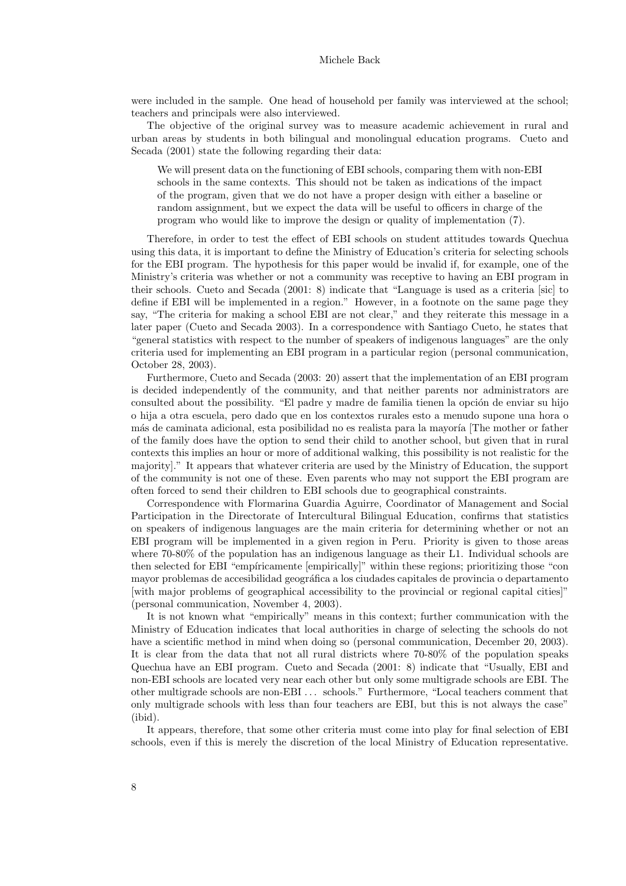were included in the sample. One head of household per family was interviewed at the school; teachers and principals were also interviewed.

The objective of the original survey was to measure academic achievement in rural and urban areas by students in both bilingual and monolingual education programs. Cueto and Secada (2001) state the following regarding their data:

We will present data on the functioning of EBI schools, comparing them with non-EBI schools in the same contexts. This should not be taken as indications of the impact of the program, given that we do not have a proper design with either a baseline or random assignment, but we expect the data will be useful to officers in charge of the program who would like to improve the design or quality of implementation (7).

Therefore, in order to test the effect of EBI schools on student attitudes towards Quechua using this data, it is important to define the Ministry of Education's criteria for selecting schools for the EBI program. The hypothesis for this paper would be invalid if, for example, one of the Ministry's criteria was whether or not a community was receptive to having an EBI program in their schools. Cueto and Secada (2001: 8) indicate that "Language is used as a criteria [sic] to define if EBI will be implemented in a region." However, in a footnote on the same page they say, "The criteria for making a school EBI are not clear," and they reiterate this message in a later paper (Cueto and Secada 2003). In a correspondence with Santiago Cueto, he states that "general statistics with respect to the number of speakers of indigenous languages" are the only criteria used for implementing an EBI program in a particular region (personal communication, October 28, 2003).

Furthermore, Cueto and Secada (2003: 20) assert that the implementation of an EBI program is decided independently of the community, and that neither parents nor administrators are consulted about the possibility. "El padre y madre de familia tienen la opción de enviar su hijo o hija a otra escuela, pero dado que en los contextos rurales esto a menudo supone una hora o más de caminata adicional, esta posibilidad no es realista para la mayoría [The mother or father of the family does have the option to send their child to another school, but given that in rural contexts this implies an hour or more of additional walking, this possibility is not realistic for the majority]." It appears that whatever criteria are used by the Ministry of Education, the support of the community is not one of these. Even parents who may not support the EBI program are often forced to send their children to EBI schools due to geographical constraints.

Correspondence with Flormarina Guardia Aguirre, Coordinator of Management and Social Participation in the Directorate of Intercultural Bilingual Education, confirms that statistics on speakers of indigenous languages are the main criteria for determining whether or not an EBI program will be implemented in a given region in Peru. Priority is given to those areas where 70-80% of the population has an indigenous language as their L1. Individual schools are then selected for EBI "empiricamente [empirically]" within these regions; prioritizing those "con mayor problemas de accesibilidad geográfica a los ciudades capitales de provincia o departamento [with major problems of geographical accessibility to the provincial or regional capital cities]" (personal communication, November 4, 2003).

It is not known what "empirically" means in this context; further communication with the Ministry of Education indicates that local authorities in charge of selecting the schools do not have a scientific method in mind when doing so (personal communication, December 20, 2003). It is clear from the data that not all rural districts where 70-80% of the population speaks Quechua have an EBI program. Cueto and Secada (2001: 8) indicate that "Usually, EBI and non-EBI schools are located very near each other but only some multigrade schools are EBI. The other multigrade schools are non-EBI . . . schools." Furthermore, "Local teachers comment that only multigrade schools with less than four teachers are EBI, but this is not always the case" (ibid).

It appears, therefore, that some other criteria must come into play for final selection of EBI schools, even if this is merely the discretion of the local Ministry of Education representative.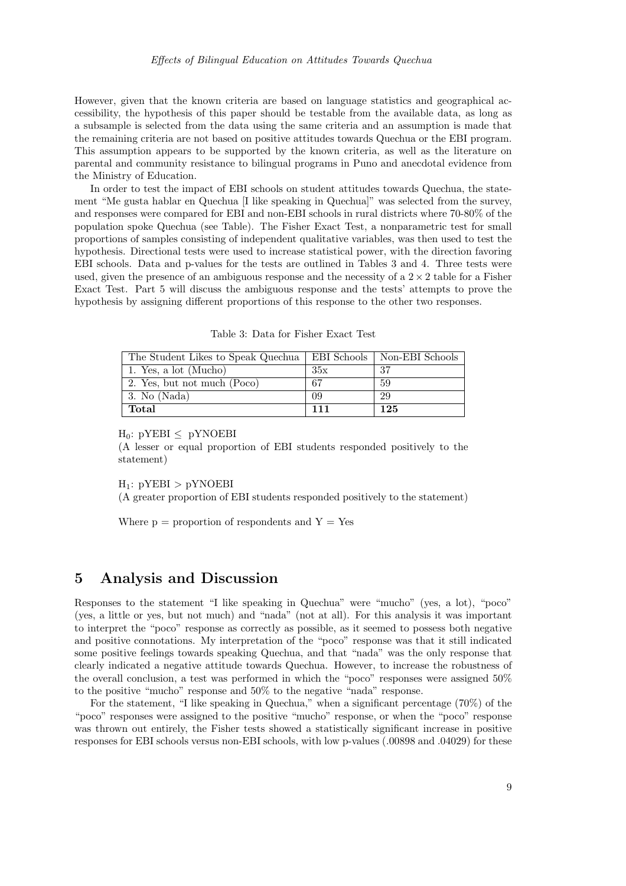However, given that the known criteria are based on language statistics and geographical accessibility, the hypothesis of this paper should be testable from the available data, as long as a subsample is selected from the data using the same criteria and an assumption is made that the remaining criteria are not based on positive attitudes towards Quechua or the EBI program. This assumption appears to be supported by the known criteria, as well as the literature on parental and community resistance to bilingual programs in Puno and anecdotal evidence from the Ministry of Education.

In order to test the impact of EBI schools on student attitudes towards Quechua, the statement "Me gusta hablar en Quechua [I like speaking in Quechua]" was selected from the survey, and responses were compared for EBI and non-EBI schools in rural districts where 70-80% of the population spoke Quechua (see Table). The Fisher Exact Test, a nonparametric test for small proportions of samples consisting of independent qualitative variables, was then used to test the hypothesis. Directional tests were used to increase statistical power, with the direction favoring EBI schools. Data and p-values for the tests are outlined in Tables 3 and 4. Three tests were used, given the presence of an ambiguous response and the necessity of a  $2 \times 2$  table for a Fisher Exact Test. Part 5 will discuss the ambiguous response and the tests' attempts to prove the hypothesis by assigning different proportions of this response to the other two responses.

Table 3: Data for Fisher Exact Test

| The Student Likes to Speak Quechua |     | EBI Schools   Non-EBI Schools |
|------------------------------------|-----|-------------------------------|
| 1. Yes, a lot (Mucho)              | 35x | 37                            |
| 2. Yes, but not much (Poco)        | -67 | 59                            |
| 3. No (Nada)                       | 09  | 29                            |
| Total                              | 111 | 125                           |

 $H_0$ : pYEBI < pYNOEBI

(A lesser or equal proportion of EBI students responded positively to the statement)

 $H_1$ :  $pYEBI > pYNOEBI$ 

(A greater proportion of EBI students responded positively to the statement)

Where  $p =$  proportion of respondents and  $Y = Yes$ 

### 5 Analysis and Discussion

Responses to the statement "I like speaking in Quechua" were "mucho" (yes, a lot), "poco" (yes, a little or yes, but not much) and "nada" (not at all). For this analysis it was important to interpret the "poco" response as correctly as possible, as it seemed to possess both negative and positive connotations. My interpretation of the "poco" response was that it still indicated some positive feelings towards speaking Quechua, and that "nada" was the only response that clearly indicated a negative attitude towards Quechua. However, to increase the robustness of the overall conclusion, a test was performed in which the "poco" responses were assigned 50% to the positive "mucho" response and 50% to the negative "nada" response.

For the statement, "I like speaking in Quechua," when a significant percentage (70%) of the "poco" responses were assigned to the positive "mucho" response, or when the "poco" response was thrown out entirely, the Fisher tests showed a statistically significant increase in positive responses for EBI schools versus non-EBI schools, with low p-values (.00898 and .04029) for these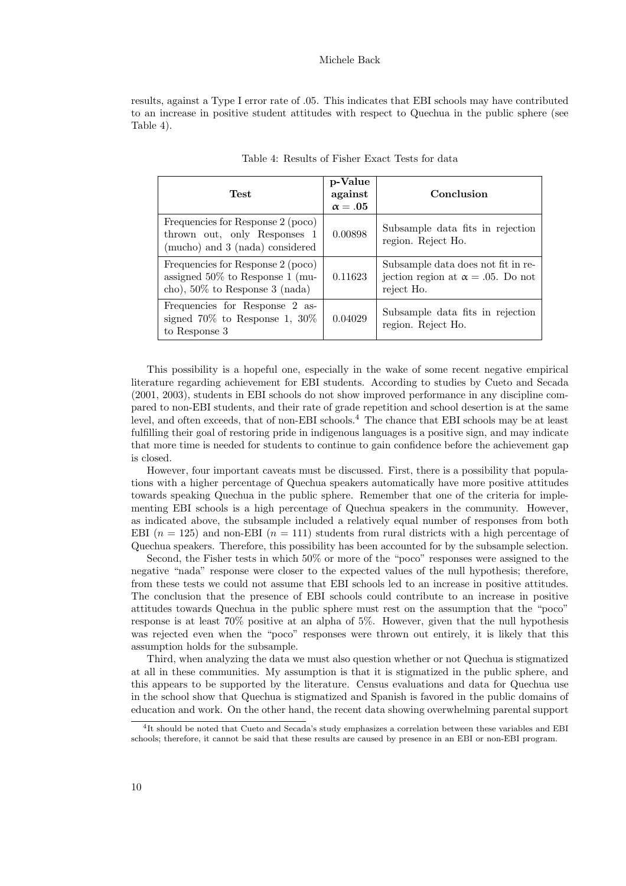results, against a Type I error rate of .05. This indicates that EBI schools may have contributed to an increase in positive student attitudes with respect to Quechua in the public sphere (see Table 4).

| Test                                                                                                         | p-Value<br>against<br>$\alpha = .05$ | Conclusion                                                                                    |
|--------------------------------------------------------------------------------------------------------------|--------------------------------------|-----------------------------------------------------------------------------------------------|
| Frequencies for Response 2 (poco)<br>thrown out, only Responses 1<br>(mucho) and 3 (nada) considered         | 0.00898                              | Subsample data fits in rejection<br>region. Reject Ho.                                        |
| Frequencies for Response 2 (poco)<br>assigned $50\%$ to Response 1 (mu-<br>cho), $50\%$ to Response 3 (nada) | 0.11623                              | Subsample data does not fit in re-<br>jection region at $\alpha = .05$ . Do not<br>reject Ho. |
| Frequencies for Response 2 as-<br>signed $70\%$ to Response 1, $30\%$<br>to Response 3                       | 0.04029                              | Subsample data fits in rejection<br>region. Reject Ho.                                        |

| Table 4: Results of Fisher Exact Tests for data |
|-------------------------------------------------|
|-------------------------------------------------|

This possibility is a hopeful one, especially in the wake of some recent negative empirical literature regarding achievement for EBI students. According to studies by Cueto and Secada (2001, 2003), students in EBI schools do not show improved performance in any discipline compared to non-EBI students, and their rate of grade repetition and school desertion is at the same level, and often exceeds, that of non-EBI schools.<sup>4</sup> The chance that EBI schools may be at least fulfilling their goal of restoring pride in indigenous languages is a positive sign, and may indicate that more time is needed for students to continue to gain confidence before the achievement gap is closed.

However, four important caveats must be discussed. First, there is a possibility that populations with a higher percentage of Quechua speakers automatically have more positive attitudes towards speaking Quechua in the public sphere. Remember that one of the criteria for implementing EBI schools is a high percentage of Quechua speakers in the community. However, as indicated above, the subsample included a relatively equal number of responses from both EBI  $(n = 125)$  and non-EBI  $(n = 111)$  students from rural districts with a high percentage of Quechua speakers. Therefore, this possibility has been accounted for by the subsample selection.

Second, the Fisher tests in which 50% or more of the "poco" responses were assigned to the negative "nada" response were closer to the expected values of the null hypothesis; therefore, from these tests we could not assume that EBI schools led to an increase in positive attitudes. The conclusion that the presence of EBI schools could contribute to an increase in positive attitudes towards Quechua in the public sphere must rest on the assumption that the "poco" response is at least 70% positive at an alpha of 5%. However, given that the null hypothesis was rejected even when the "poco" responses were thrown out entirely, it is likely that this assumption holds for the subsample.

Third, when analyzing the data we must also question whether or not Quechua is stigmatized at all in these communities. My assumption is that it is stigmatized in the public sphere, and this appears to be supported by the literature. Census evaluations and data for Quechua use in the school show that Quechua is stigmatized and Spanish is favored in the public domains of education and work. On the other hand, the recent data showing overwhelming parental support

<sup>4</sup> It should be noted that Cueto and Secada's study emphasizes a correlation between these variables and EBI schools; therefore, it cannot be said that these results are caused by presence in an EBI or non-EBI program.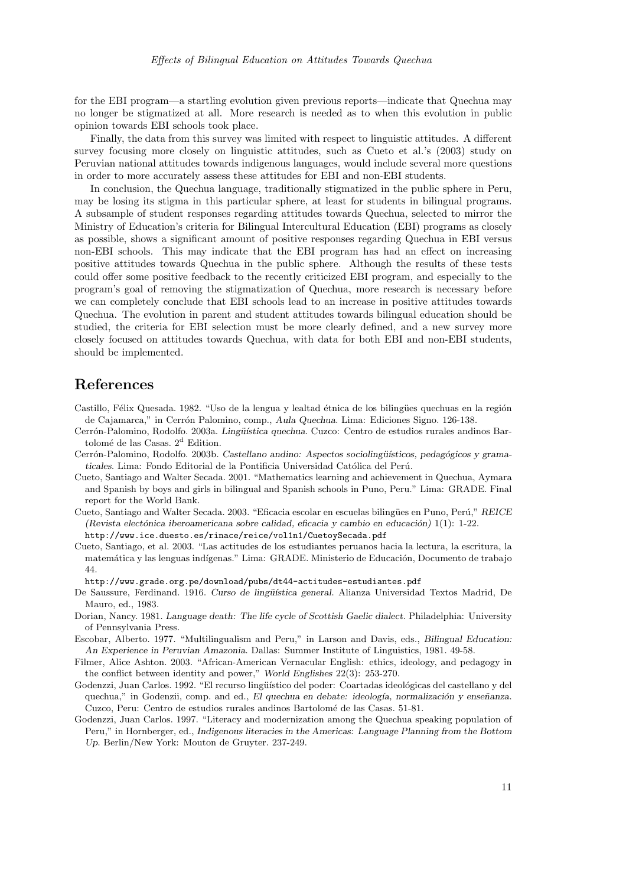for the EBI program—a startling evolution given previous reports—indicate that Quechua may no longer be stigmatized at all. More research is needed as to when this evolution in public opinion towards EBI schools took place.

Finally, the data from this survey was limited with respect to linguistic attitudes. A different survey focusing more closely on linguistic attitudes, such as Cueto et al.'s (2003) study on Peruvian national attitudes towards indigenous languages, would include several more questions in order to more accurately assess these attitudes for EBI and non-EBI students.

In conclusion, the Quechua language, traditionally stigmatized in the public sphere in Peru, may be losing its stigma in this particular sphere, at least for students in bilingual programs. A subsample of student responses regarding attitudes towards Quechua, selected to mirror the Ministry of Education's criteria for Bilingual Intercultural Education (EBI) programs as closely as possible, shows a significant amount of positive responses regarding Quechua in EBI versus non-EBI schools. This may indicate that the EBI program has had an effect on increasing positive attitudes towards Quechua in the public sphere. Although the results of these tests could offer some positive feedback to the recently criticized EBI program, and especially to the program's goal of removing the stigmatization of Quechua, more research is necessary before we can completely conclude that EBI schools lead to an increase in positive attitudes towards Quechua. The evolution in parent and student attitudes towards bilingual education should be studied, the criteria for EBI selection must be more clearly defined, and a new survey more closely focused on attitudes towards Quechua, with data for both EBI and non-EBI students, should be implemented.

### References

- Castillo, Félix Quesada. 1982. "Uso de la lengua y lealtad étnica de los bilingües quechuas en la región de Cajamarca," in Cerrón Palomino, comp., Aula Quechua. Lima: Ediciones Signo. 126-138.
- Cerrón-Palomino, Rodolfo. 2003a. Lingüística quechua. Cuzco: Centro de estudios rurales andinos Bartolomé de las Casas.  $2<sup>d</sup>$  Edition.
- Cerrón-Palomino, Rodolfo. 2003b. Castellano andino: Aspectos sociolingüísticos, pedagógicos y gramaticales. Lima: Fondo Editorial de la Pontificia Universidad Católica del Perú.
- Cueto, Santiago and Walter Secada. 2001. "Mathematics learning and achievement in Quechua, Aymara and Spanish by boys and girls in bilingual and Spanish schools in Puno, Peru." Lima: GRADE. Final report for the World Bank.
- Cueto, Santiago and Walter Secada. 2003. "Eficacia escolar en escuelas bilingües en Puno, Perú," REICE (Revista electónica iberoamericana sobre calidad, eficacia y cambio en educación) 1(1): 1-22. http://www.ice.duesto.es/rinace/reice/vol1n1/CuetoySecada.pdf
- Cueto, Santiago, et al. 2003. "Las actitudes de los estudiantes peruanos hacia la lectura, la escritura, la matemática y las lenguas indígenas." Lima: GRADE. Ministerio de Educación, Documento de trabajo 44.
	- http://www.grade.org.pe/download/pubs/dt44-actitudes-estudiantes.pdf
- De Saussure, Ferdinand. 1916. Curso de lingüística general. Alianza Universidad Textos Madrid, De Mauro, ed., 1983.
- Dorian, Nancy. 1981. Language death: The life cycle of Scottish Gaelic dialect. Philadelphia: University of Pennsylvania Press.
- Escobar, Alberto. 1977. "Multilingualism and Peru," in Larson and Davis, eds., Bilingual Education: An Experience in Peruvian Amazonia. Dallas: Summer Institute of Linguistics, 1981. 49-58.
- Filmer, Alice Ashton. 2003. "African-American Vernacular English: ethics, ideology, and pedagogy in the conflict between identity and power," World Englishes 22(3): 253-270.
- Godenzzi, Juan Carlos. 1992. "El recurso lingüístico del poder: Coartadas ideológicas del castellano y del quechua," in Godenzii, comp. and ed., El quechua en debate: ideología, normalización y enseñanza. Cuzco, Peru: Centro de estudios rurales andinos Bartolomé de las Casas. 51-81.
- Godenzzi, Juan Carlos. 1997. "Literacy and modernization among the Quechua speaking population of Peru," in Hornberger, ed., Indigenous literacies in the Americas: Language Planning from the Bottom Up. Berlin/New York: Mouton de Gruyter. 237-249.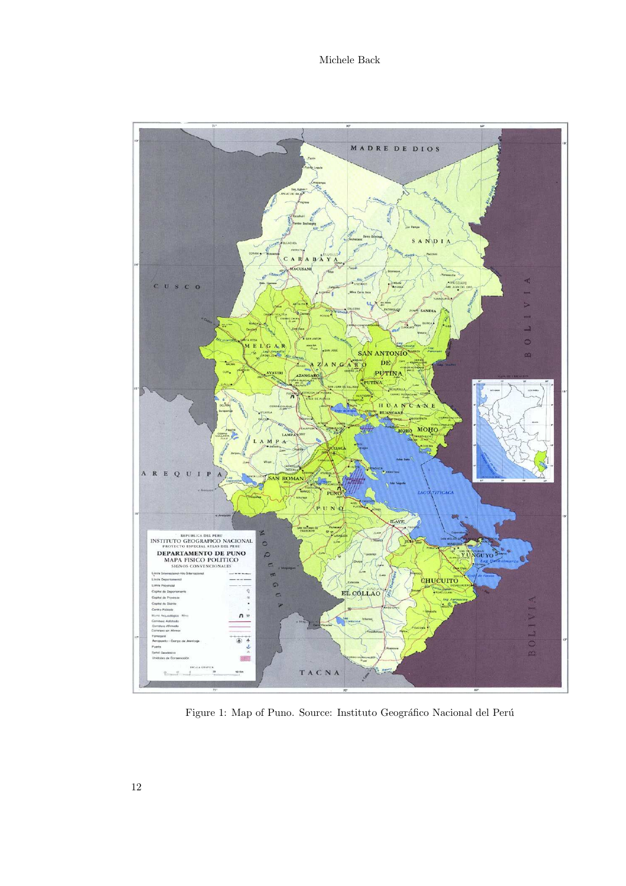

Figure 1: Map of Puno. Source: Instituto Geográfico Nacional del Perú